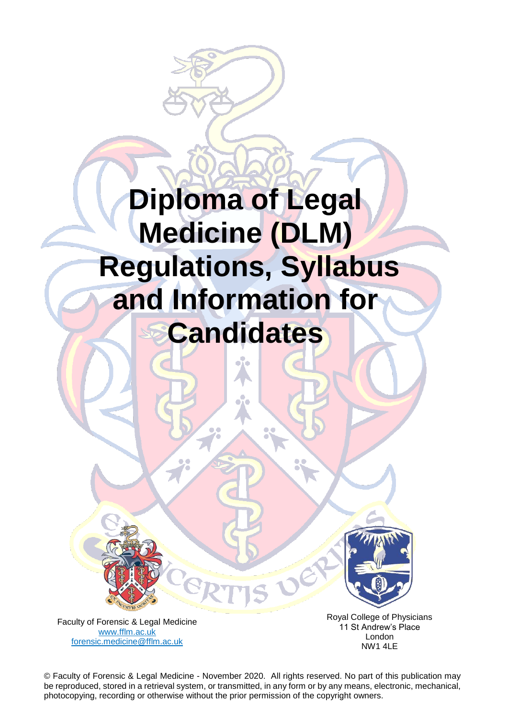# **Diploma of Legal Medicine (DLM) Regulations, Syllabus and Information for Candidates**



Faculty of Forensic & Legal Medicine [www.fflm.ac.uk](http://www.fflm.ac.uk/)  [forensic.medicine@fflm.ac.uk](mailto:forensic.medicine@fflm.ac.uk)

Royal College of Physicians 11 St Andrew's Place London NW1 4LE

be reproduced, stored in a retrieval system, or transmitted, in any form or by any means, electronic, mechanical, © Faculty of Forensic & Legal Medicine - November 2020. All rights reserved. No part of this publication may photocopying, recording or otherwise without the prior permission of the copyright owners.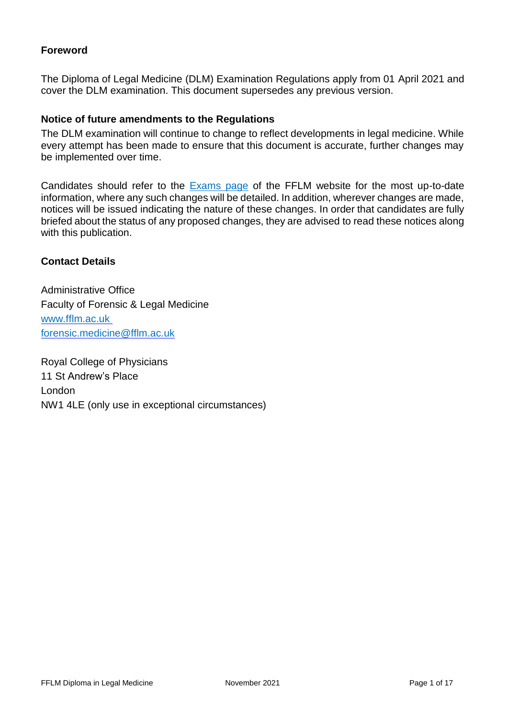# **Foreword**

The Diploma of Legal Medicine (DLM) Examination Regulations apply from 01 April 2021 and cover the DLM examination. This document supersedes any previous version.

## **Notice of future amendments to the Regulations**

The DLM examination will continue to change to reflect developments in legal medicine. While every attempt has been made to ensure that this document is accurate, further changes may be implemented over time.

Candidates should refer to the [Exams page](http://www.fflm.ac.uk/exams) of the FFLM website for the most up-to-date information, where any such changes will be detailed. In addition, wherever changes are made, notices will be issued indicating the nature of these changes. In order that candidates are fully briefed about the status of any proposed changes, they are advised to read these notices along with this publication.

## **Contact Details**

Administrative Office Faculty of Forensic & Legal Medicine www.fflm.ac.uk [forensic.medicine@fflm.ac.uk](mailto:forensic.medicine@fflm.ac.uk)

Royal College of Physicians 11 St Andrew's Place London NW1 4LE (only use in exceptional circumstances)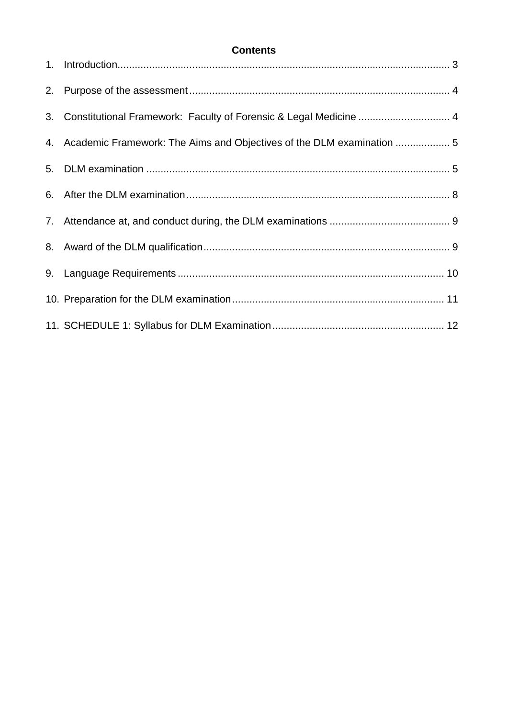# **Contents**

| 3. Constitutional Framework: Faculty of Forensic & Legal Medicine  4     |  |
|--------------------------------------------------------------------------|--|
| 4. Academic Framework: The Aims and Objectives of the DLM examination  5 |  |
|                                                                          |  |
|                                                                          |  |
|                                                                          |  |
|                                                                          |  |
|                                                                          |  |
|                                                                          |  |
|                                                                          |  |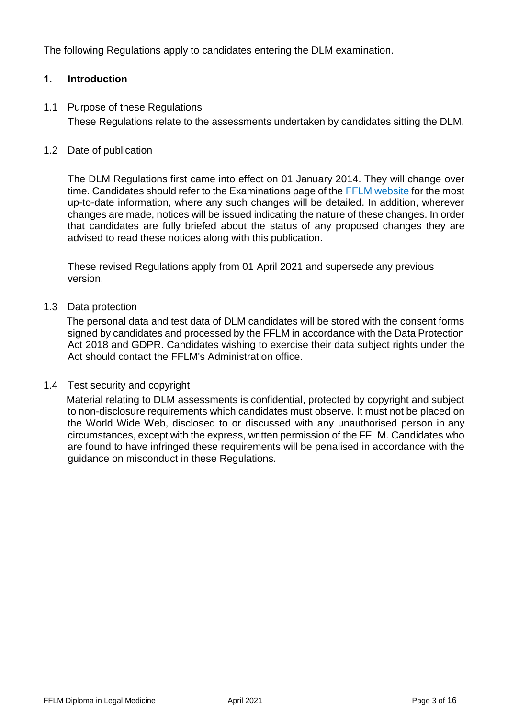The following Regulations apply to candidates entering the DLM examination.

# **1. Introduction**

1.1 Purpose of these Regulations These Regulations relate to the assessments undertaken by candidates sitting the DLM.

## 1.2 Date of publication

The DLM Regulations first came into effect on 01 January 2014. They will change over time. Candidates should refer to the Examinations page of the [FFLM website](http://www.fflm.ac.uk/exams) for the most up-to-date information, where any such changes will be detailed. In addition, wherever changes are made, notices will be issued indicating the nature of these changes. In order that candidates are fully briefed about the status of any proposed changes they are advised to read these notices along with this publication.

These revised Regulations apply from 01 April 2021 and supersede any previous version.

#### 1.3 Data protection

The personal data and test data of DLM candidates will be stored with the consent forms signed by candidates and processed by the FFLM in accordance with the Data Protection Act 2018 and GDPR. Candidates wishing to exercise their data subject rights under the Act should contact the FFLM's Administration office.

## 1.4 Test security and copyright

Material relating to DLM assessments is confidential, protected by copyright and subject to non-disclosure requirements which candidates must observe. It must not be placed on the World Wide Web, disclosed to or discussed with any unauthorised person in any circumstances, except with the express, written permission of the FFLM. Candidates who are found to have infringed these requirements will be penalised in accordance with the guidance on misconduct in these Regulations.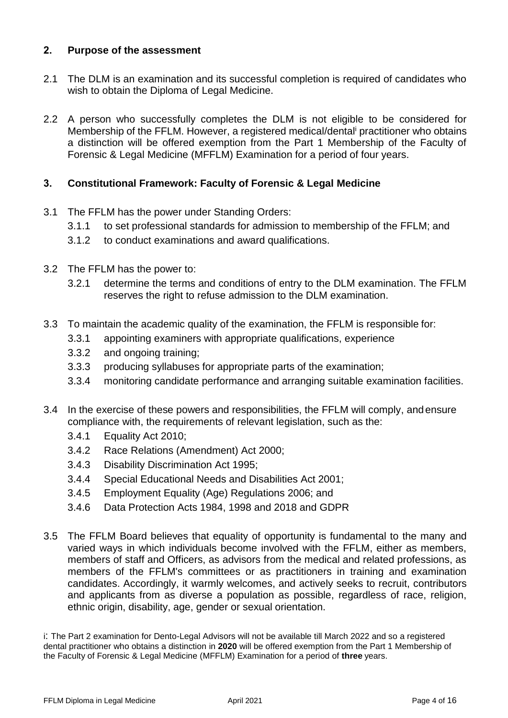# **2. Purpose of the assessment**

- 2.1 The DLM is an examination and its successful completion is required of candidates who wish to obtain the Diploma of Legal Medicine.
- 2.2 A person who successfully completes the DLM is not eligible to be considered for Membership of the FFLM. However, a registered medical/dental practitioner who obtains a distinction will be offered exemption from the Part 1 Membership of the Faculty of Forensic & Legal Medicine (MFFLM) Examination for a period of four years.

# **3. Constitutional Framework: Faculty of Forensic & Legal Medicine**

- 3.1 The FFLM has the power under Standing Orders:
	- 3.1.1 to set professional standards for admission to membership of the FFLM; and
	- 3.1.2 to conduct examinations and award qualifications.
- 3.2 The FFLM has the power to:
	- 3.2.1 determine the terms and conditions of entry to the DLM examination. The FFLM reserves the right to refuse admission to the DLM examination.
- 3.3 To maintain the academic quality of the examination, the FFLM is responsible for:
	- 3.3.1 appointing examiners with appropriate qualifications, experience
	- 3.3.2 and ongoing training;
	- 3.3.3 producing syllabuses for appropriate parts of the examination;
	- 3.3.4 monitoring candidate performance and arranging suitable examination facilities.
- 3.4 In the exercise of these powers and responsibilities, the FFLM will comply, andensure compliance with, the requirements of relevant legislation, such as the:
	- 3.4.1 Equality Act 2010;
	- 3.4.2 Race Relations (Amendment) Act 2000;
	- 3.4.3 Disability Discrimination Act 1995;
	- 3.4.4 Special Educational Needs and Disabilities Act 2001;
	- 3.4.5 Employment Equality (Age) Regulations 2006; and
	- 3.4.6 Data Protection Acts 1984, 1998 and 2018 and GDPR
- 3.5 The FFLM Board believes that equality of opportunity is fundamental to the many and varied ways in which individuals become involved with the FFLM, either as members, members of staff and Officers, as advisors from the medical and related professions, as members of the FFLM's committees or as practitioners in training and examination candidates. Accordingly, it warmly welcomes, and actively seeks to recruit, contributors and applicants from as diverse a population as possible, regardless of race, religion, ethnic origin, disability, age, gender or sexual orientation.

i: The Part 2 examination for Dento-Legal Advisors will not be available till March 2022 and so a registered dental practitioner who obtains a distinction in **2020** will be offered exemption from the Part 1 Membership of the Faculty of Forensic & Legal Medicine (MFFLM) Examination for a period of **three** years.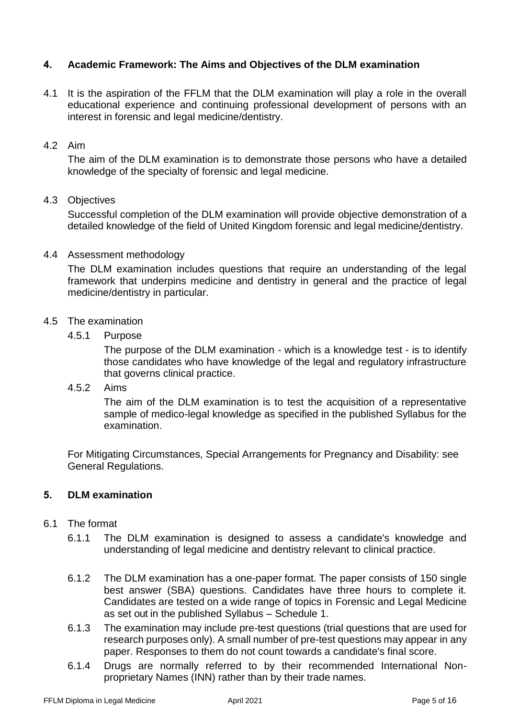# **4. Academic Framework: The Aims and Objectives of the DLM examination**

4.1 It is the aspiration of the FFLM that the DLM examination will play a role in the overall educational experience and continuing professional development of persons with an interest in forensic and legal medicine/dentistry.

#### 4.2 Aim

The aim of the DLM examination is to demonstrate those persons who have a detailed knowledge of the specialty of forensic and legal medicine.

## 4.3 Objectives

Successful completion of the DLM examination will provide objective demonstration of a detailed knowledge of the field of United Kingdom forensic and legal medicine/dentistry.

#### 4.4 Assessment methodology

The DLM examination includes questions that require an understanding of the legal framework that underpins medicine and dentistry in general and the practice of legal medicine/dentistry in particular.

#### 4.5 The examination

4.5.1 Purpose

The purpose of the DLM examination - which is a knowledge test - is to identify those candidates who have knowledge of the legal and regulatory infrastructure that governs clinical practice.

4.5.2 Aims

The aim of the DLM examination is to test the acquisition of a representative sample of medico-legal knowledge as specified in the published Syllabus for the examination.

For Mitigating Circumstances, Special Arrangements for Pregnancy and Disability: see General Regulations.

## **5. DLM examination**

## 6.1 The format

- 6.1.1 The DLM examination is designed to assess a candidate's knowledge and understanding of legal medicine and dentistry relevant to clinical practice.
- 6.1.2 The DLM examination has a one-paper format. The paper consists of 150 single best answer (SBA) questions. Candidates have three hours to complete it. Candidates are tested on a wide range of topics in Forensic and Legal Medicine as set out in the published Syllabus – Schedule 1.
- 6.1.3 The examination may include pre-test questions (trial questions that are used for research purposes only). A small number of pre-test questions may appear in any paper. Responses to them do not count towards a candidate's final score.
- 6.1.4 Drugs are normally referred to by their recommended International Nonproprietary Names (INN) rather than by their trade names.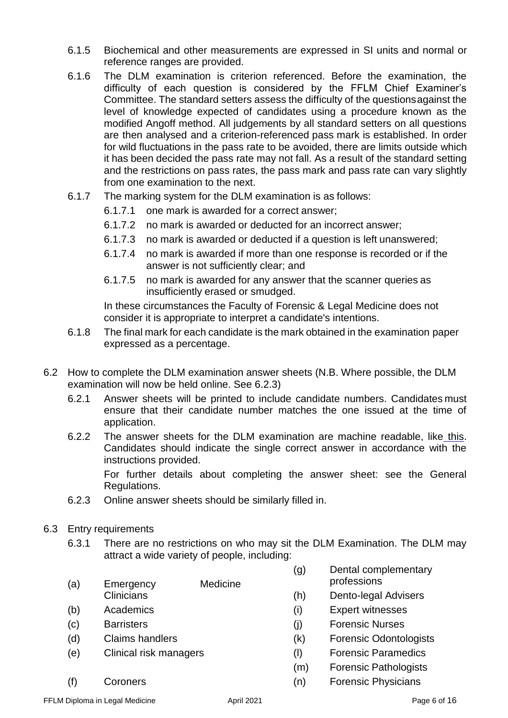- 6.1.5 Biochemical and other measurements are expressed in SI units and normal or reference ranges are provided.
- 6.1.6 The DLM examination is criterion referenced. Before the examination, the difficulty of each question is considered by the FFLM Chief Examiner's Committee. The standard setters assess the difficulty of the questionsagainst the level of knowledge expected of candidates using a procedure known as the modified Angoff method. All judgements by all standard setters on all questions are then analysed and a criterion-referenced pass mark is established. In order for wild fluctuations in the pass rate to be avoided, there are limits outside which it has been decided the pass rate may not fall. As a result of the standard setting and the restrictions on pass rates, the pass mark and pass rate can vary slightly from one examination to the next.
- 6.1.7 The marking system for the DLM examination is as follows:
	- 6.1.7.1 one mark is awarded for a correct answer;
	- 6.1.7.2 no mark is awarded or deducted for an incorrect answer;
	- 6.1.7.3 no mark is awarded or deducted if a question is left unanswered;
	- 6.1.7.4 no mark is awarded if more than one response is recorded or if the answer is not sufficiently clear; and
	- 6.1.7.5 no mark is awarded for any answer that the scanner queries as insufficiently erased or smudged.

In these circumstances the Faculty of Forensic & Legal Medicine does not consider it is appropriate to interpret a candidate's intentions.

- 6.1.8 The final mark for each candidate is the mark obtained in the examination paper expressed as a percentage.
- 6.2 How to complete the DLM examination answer sheets (N.B. Where possible, the DLM examination will now be held online. See 6.2.3)
	- 6.2.1 Answer sheets will be printed to include candidate numbers. Candidates must ensure that their candidate number matches the one issued at the time of application.
	- 6.2.2 The answer sheets for the DLM examination are machine readable, like [this.](https://fflm.ac.uk/wp-content/uploads/2017/07/801_Edumetric_en.pdf) Candidates should indicate the single correct answer in accordance with the instructions provided.

For further details about completing the answer sheet: see the General Regulations.

- 6.2.3 Online answer sheets should be similarly filled in.
- 6.3 Entry requirements
	- 6.3.1 There are no restrictions on who may sit the DLM Examination. The DLM may attract a wide variety of people, including:
	- (a) Emergency Medicine **Clinicians**
	- (b) Academics
	- (c) Barristers
	- (d) Claims handlers
	- (e) Clinical risk managers
	- (f) Coroners
- (g) Dental complementary professions
- (h) Dento-legal Advisers
- (i) Expert witnesses
- (j) Forensic Nurses
- (k) Forensic Odontologists
- (l) Forensic Paramedics
- (m) Forensic Pathologists
- (n) Forensic Physicians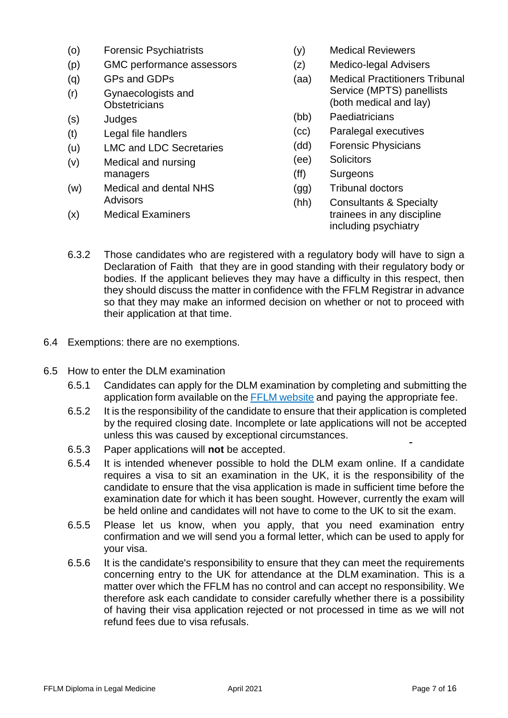- (o) Forensic Psychiatrists
- (p) GMC performance assessors
- (q) GPs and GDPs
- (r) Gynaecologists and **Obstetricians**
- (s) Judges
- (t) Legal file handlers
- (u) LMC and LDC Secretaries
- (v) Medical and nursing managers
- (w) Medical and dental NHS **Advisors**
- (x) Medical Examiners
- (y) Medical Reviewers
- (z) Medico-legal Advisers
- (aa) Medical Practitioners Tribunal Service (MPTS) panellists (both medical and lay)
- (bb) Paediatricians
- (cc) Paralegal executives
- (dd) Forensic Physicians
- (ee) Solicitors
- (ff) Surgeons
- (gg) Tribunal doctors
- (hh) Consultants & Specialty trainees in any discipline including psychiatry
- 6.3.2 Those candidates who are registered with a regulatory body will have to sign a Declaration of Faith that they are in good standing with their regulatory body or bodies. If the applicant believes they may have a difficulty in this respect, then they should discuss the matter in confidence with the FFLM Registrar in advance so that they may make an informed decision on whether or not to proceed with their application at that time.
- 6.4 Exemptions: there are no exemptions.
- 6.5 How to enter the DLM examination
	- 6.5.1 Candidates can apply for the DLM examination by completing and submitting the application form available on the FFLM [website](http://www.fflm.ac.uk/exams) and paying the appropriate fee.
	- 6.5.2 It is the responsibility of the candidate to ensure that their application is completed by the required closing date. Incomplete or late applications will not be accepted unless this was caused by exceptional circumstances.
	- 6.5.3 Paper applications will **not** be accepted.
	- 6.5.4 It is intended whenever possible to hold the DLM exam online. If a candidate requires a visa to sit an examination in the UK, it is the responsibility of the candidate to ensure that the visa application is made in sufficient time before the examination date for which it has been sought. However, currently the exam will be held online and candidates will not have to come to the UK to sit the exam.
	- 6.5.5 Please let us know, when you apply, that you need examination entry confirmation and we will send you a formal letter, which can be used to apply for your visa.
	- 6.5.6 It is the candidate's responsibility to ensure that they can meet the requirements concerning entry to the UK for attendance at the DLM examination. This is a matter over which the FFLM has no control and can accept no responsibility. We therefore ask each candidate to consider carefully whether there is a possibility of having their visa application rejected or not processed in time as we will not refund fees due to visa refusals.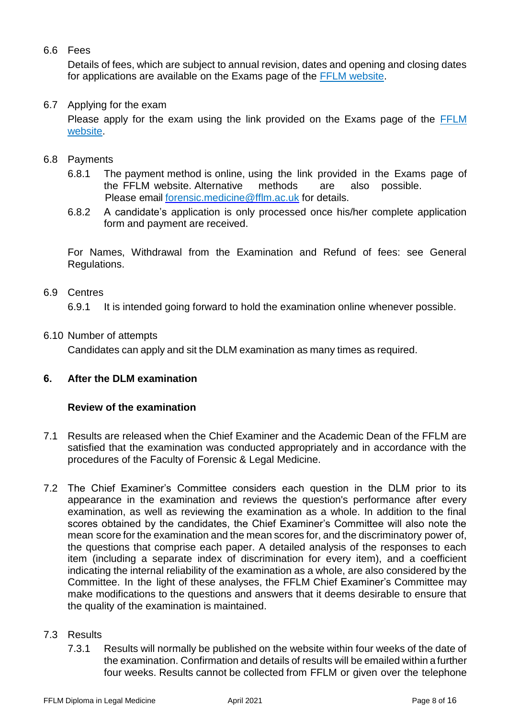# 6.6 Fees

Details of fees, which are subject to annual revision, dates and opening and closing dates for applications are available on the Exams page of the [FFLM website.](http://www.fflm.ac.uk/exams)

## 6.7 Applying for the exam

Please apply for the exam using the link provided on the Exams page of the [FFLM](http://www.fflm.ac.uk/exams)  [website.](http://www.fflm.ac.uk/exams)

## 6.8 Payments

- 6.8.1 The payment method is online, using the link provided in the Exams page of the FFLM website. Alternative methods are also possible. Please email [forensic.medicine@fflm.ac.uk](mailto:forensic.medicine@fflm.ac.uk) for details.
- 6.8.2 A candidate's application is only processed once his/her complete application form and payment are received.

For Names, Withdrawal from the Examination and Refund of fees: see General Regulations.

## 6.9 Centres

6.9.1 It is intended going forward to hold the examination online whenever possible.

#### 6.10 Number of attempts

Candidates can apply and sit the DLM examination as many times as required.

## **6. After the DLM examination**

## **Review of the examination**

- 7.1 Results are released when the Chief Examiner and the Academic Dean of the FFLM are satisfied that the examination was conducted appropriately and in accordance with the procedures of the Faculty of Forensic & Legal Medicine.
- 7.2 The Chief Examiner's Committee considers each question in the DLM prior to its appearance in the examination and reviews the question's performance after every examination, as well as reviewing the examination as a whole. In addition to the final scores obtained by the candidates, the Chief Examiner's Committee will also note the mean score for the examination and the mean scores for, and the discriminatory power of, the questions that comprise each paper. A detailed analysis of the responses to each item (including a separate index of discrimination for every item), and a coefficient indicating the internal reliability of the examination as a whole, are also considered by the Committee. In the light of these analyses, the FFLM Chief Examiner's Committee may make modifications to the questions and answers that it deems desirable to ensure that the quality of the examination is maintained.

#### 7.3 Results

7.3.1 Results will normally be published on the website within four weeks of the date of the examination. Confirmation and details of results will be emailed within a further four weeks. Results cannot be collected from FFLM or given over the telephone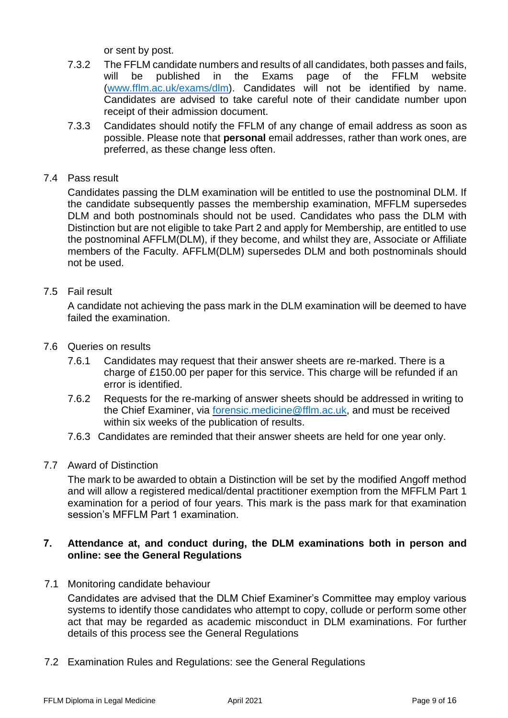or sent by post.

- 7.3.2 The FFLM candidate numbers and results of all candidates, both passes and fails, will be published in the Exams page of the FFLM website [\(www.fflm.ac.uk/exams/dlm\)](http://www.fflm.ac.uk/exams/dlm). Candidates will not be identified by name. Candidates are advised to take careful note of their candidate number upon receipt of their admission document.
- 7.3.3 Candidates should notify the FFLM of any change of email address as soon as possible. Please note that **personal** email addresses, rather than work ones, are preferred, as these change less often.
- 7.4 Pass result

Candidates passing the DLM examination will be entitled to use the postnominal DLM. If the candidate subsequently passes the membership examination, MFFLM supersedes DLM and both postnominals should not be used. Candidates who pass the DLM with Distinction but are not eligible to take Part 2 and apply for Membership, are entitled to use the postnominal AFFLM(DLM), if they become, and whilst they are, Associate or Affiliate members of the Faculty. AFFLM(DLM) supersedes DLM and both postnominals should not be used.

7.5 Fail result

A candidate not achieving the pass mark in the DLM examination will be deemed to have failed the examination.

- 7.6 Queries on results
	- 7.6.1 Candidates may request that their answer sheets are re-marked. There is a charge of £150.00 per paper for this service. This charge will be refunded if an error is identified.
	- 7.6.2 Requests for the re-marking of answer sheets should be addressed in writing to the Chief Examiner, via [forensic.medicine@fflm.ac.uk,](mailto:forensic.medicine@fflm.ac.uk) and must be received within six weeks of the publication of results.
	- 7.6.3 Candidates are reminded that their answer sheets are held for one year only.
- 7.7 Award of Distinction

The mark to be awarded to obtain a Distinction will be set by the modified Angoff method and will allow a registered medical/dental practitioner exemption from the MFFLM Part 1 examination for a period of four years. This mark is the pass mark for that examination session's MFFLM Part 1 examination.

## **7. Attendance at, and conduct during, the DLM examinations both in person and online: see the General Regulations**

7.1 Monitoring candidate behaviour

Candidates are advised that the DLM Chief Examiner's Committee may employ various systems to identify those candidates who attempt to copy, collude or perform some other act that may be regarded as academic misconduct in DLM examinations. For further details of this process see the General Regulations

7.2 Examination Rules and Regulations: see the General Regulations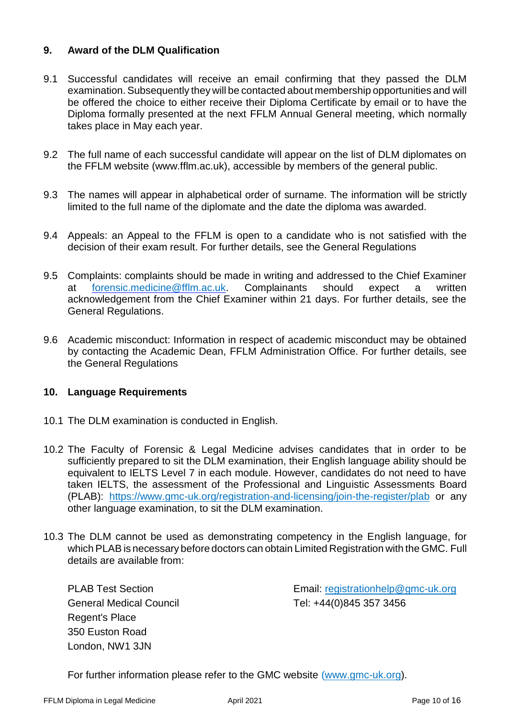# **9. Award of the DLM Qualification**

- 9.1 Successful candidates will receive an email confirming that they passed the DLM examination.Subsequently they will be contacted about membership opportunities and will be offered the choice to either receive their Diploma Certificate by email or to have the Diploma formally presented at the next FFLM Annual General meeting, which normally takes place in May each year.
- 9.2 The full name of each successful candidate will appear on the list of DLM diplomates on the FFLM website (www.fflm.ac.uk), accessible by members of the general public.
- 9.3 The names will appear in alphabetical order of surname. The information will be strictly limited to the full name of the diplomate and the date the diploma was awarded.
- 9.4 Appeals: an Appeal to the FFLM is open to a candidate who is not satisfied with the decision of their exam result. For further details, see the General Regulations
- 9.5 Complaints: complaints should be made in writing and addressed to the Chief Examiner at [forensic.medicine@fflm.ac.uk.](mailto:forensic.medicine@fflm.ac.uk) Complainants should expect a written acknowledgement from the Chief Examiner within 21 days. For further details, see the General Regulations.
- 9.6 Academic misconduct: Information in respect of academic misconduct may be obtained by contacting the Academic Dean, FFLM Administration Office. For further details, see the General Regulations

## **10. Language Requirements**

- 10.1 The DLM examination is conducted in English.
- 10.2 The Faculty of Forensic & Legal Medicine advises candidates that in order to be sufficiently prepared to sit the DLM examination, their English language ability should be equivalent to IELTS Level 7 in each module. However, candidates do not need to have taken IELTS, the assessment of the Professional and Linguistic Assessments Board (PLAB): <https://www.gmc-uk.org/registration-and-licensing/join-the-register/plab> or any other language examination, to sit the DLM examination.
- 10.3 The DLM cannot be used as demonstrating competency in the English language, for which PLAB is necessary before doctors can obtain Limited Registration with the GMC. Full details are available from:

PLAB Test Section General Medical Council Regent's Place 350 Euston Road London, NW1 3JN

Email: [registrationhelp@gmc-uk.org](mailto:registrationhelp@gmc-uk.org) Tel: +44(0)845 357 3456

For further information please refer to the GMC website [\(www.gmc-uk.org\)](http://www.fflm.ac.uk/education/dlm).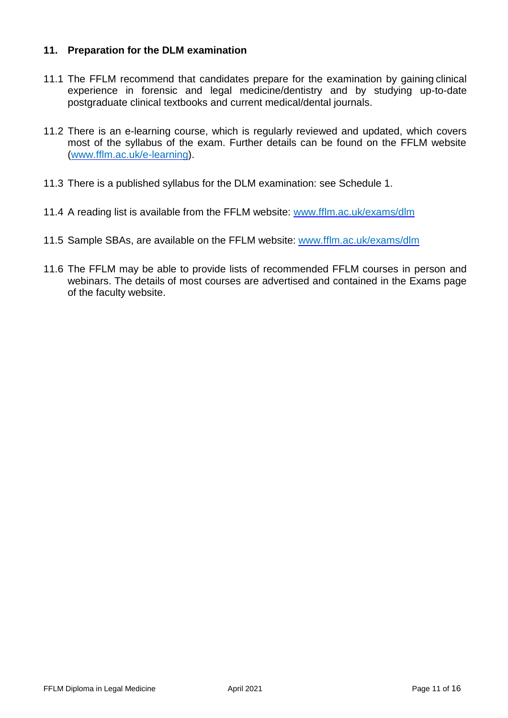# **11. Preparation for the DLM examination**

- 11.1 The FFLM recommend that candidates prepare for the examination by gaining clinical experience in forensic and legal medicine/dentistry and by studying up-to-date postgraduate clinical textbooks and current medical/dental journals.
- 11.2 There is an e-learning course, which is regularly reviewed and updated, which covers most of the syllabus of the exam. Further details can be found on the FFLM website [\(www.fflm.ac.uk/e-learning\)](http://www.fflm.ac.uk/e-learning).
- 11.3 There is a published syllabus for the DLM examination: see Schedule 1.
- 11.4 A reading list is available from the FFLM website: [www.fflm.ac.uk/exams/dlm](http://www.fflm.ac.uk/exams/dlm)
- 11.5 Sample SBAs, are available on the FFLM website: [www.fflm.ac.uk/exams/dlm](http://www.fflm.ac.uk/exams/dlm)
- 11.6 The FFLM may be able to provide lists of recommended FFLM courses in person and webinars. The details of most courses are advertised and contained in the Exams page of the faculty website.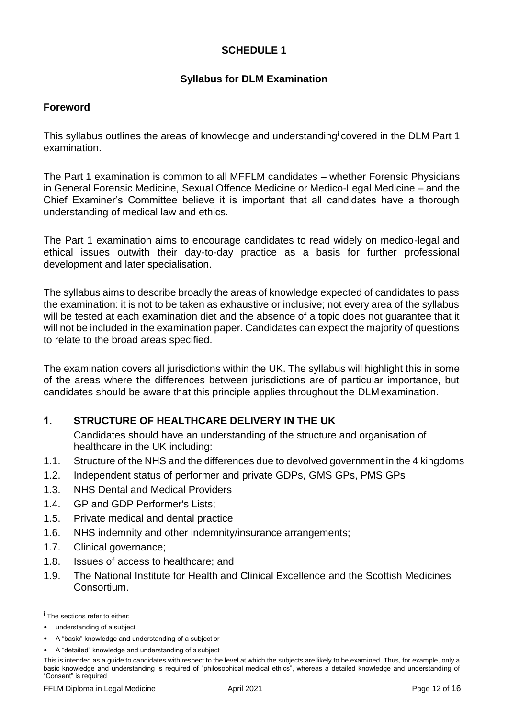# **SCHEDULE 1**

# **Syllabus for DLM Examination**

## **Foreword**

This syllabus outlines the areas of knowledge and understanding covered in the DLM Part 1 examination.

The Part 1 examination is common to all MFFLM candidates – whether Forensic Physicians in General Forensic Medicine, Sexual Offence Medicine or Medico-Legal Medicine – and the Chief Examiner's Committee believe it is important that all candidates have a thorough understanding of medical law and ethics.

The Part 1 examination aims to encourage candidates to read widely on medico-legal and ethical issues outwith their day-to-day practice as a basis for further professional development and later specialisation.

The syllabus aims to describe broadly the areas of knowledge expected of candidates to pass the examination: it is not to be taken as exhaustive or inclusive; not every area of the syllabus will be tested at each examination diet and the absence of a topic does not guarantee that it will not be included in the examination paper. Candidates can expect the majority of questions to relate to the broad areas specified.

The examination covers all jurisdictions within the UK. The syllabus will highlight this in some of the areas where the differences between jurisdictions are of particular importance, but candidates should be aware that this principle applies throughout the DLMexamination.

# **1. STRUCTURE OF HEALTHCARE DELIVERY IN THE UK**

Candidates should have an understanding of the structure and organisation of healthcare in the UK including:

- 1.1. Structure of the NHS and the differences due to devolved government in the 4 kingdoms
- 1.2. Independent status of performer and private GDPs, GMS GPs, PMS GPs
- 1.3. NHS Dental and Medical Providers
- 1.4. GP and GDP Performer's Lists;
- 1.5. Private medical and dental practice
- 1.6. NHS indemnity and other indemnity/insurance arrangements;
- 1.7. Clinical governance;
- 1.8. Issues of access to healthcare; and
- 1.9. The National Institute for Health and Clinical Excellence and the Scottish Medicines Consortium.

<sup>&</sup>lt;sup>i</sup> The sections refer to either:

<sup>•</sup> understanding of a subject

<sup>•</sup> A "basic" knowledge and understanding of a subject or

<sup>•</sup> A "detailed" knowledge and understanding of a subject

This is intended as a guide to candidates with respect to the level at which the subjects are likely to be examined. Thus, for example, only a basic knowledge and understanding is required of "philosophical medical ethics", whereas a detailed knowledge and understanding of "Consent" is required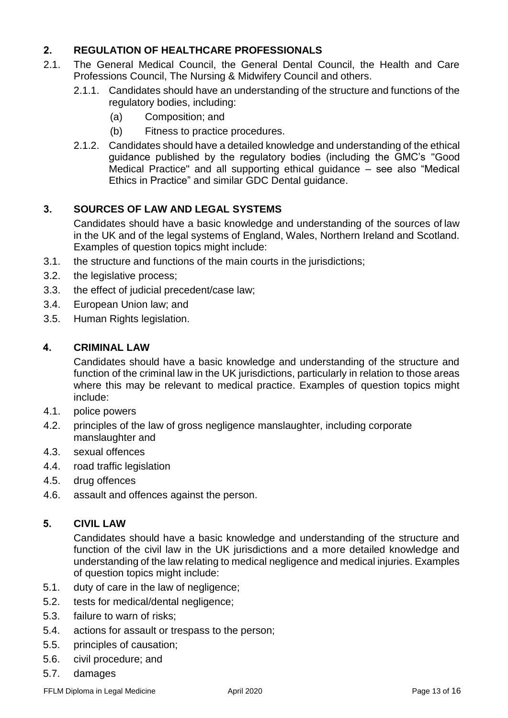# **2. REGULATION OF HEALTHCARE PROFESSIONALS**

- 2.1. The General Medical Council, the General Dental Council, the Health and Care Professions Council, The Nursing & Midwifery Council and others.
	- 2.1.1. Candidates should have an understanding of the structure and functions of the regulatory bodies, including:
		- (a) Composition; and
		- (b) Fitness to practice procedures.
	- 2.1.2. Candidates should have a detailed knowledge and understanding of the ethical guidance published by the regulatory bodies (including the GMC's "Good Medical Practice" and all supporting ethical guidance – see also "Medical Ethics in Practice" and similar GDC Dental guidance.

# **3. SOURCES OF LAW AND LEGAL SYSTEMS**

Candidates should have a basic knowledge and understanding of the sources of law in the UK and of the legal systems of England, Wales, Northern Ireland and Scotland. Examples of question topics might include:

- 3.1. the structure and functions of the main courts in the jurisdictions;
- 3.2. the legislative process;
- 3.3. the effect of judicial precedent/case law;
- 3.4. European Union law; and
- 3.5. Human Rights legislation.

## **4. CRIMINAL LAW**

Candidates should have a basic knowledge and understanding of the structure and function of the criminal law in the UK jurisdictions, particularly in relation to those areas where this may be relevant to medical practice. Examples of question topics might include:

- 4.1. police powers
- 4.2. principles of the law of gross negligence manslaughter, including corporate manslaughter and
- 4.3. sexual offences
- 4.4. road traffic legislation
- 4.5. drug offences
- 4.6. assault and offences against the person.

# **5. CIVIL LAW**

Candidates should have a basic knowledge and understanding of the structure and function of the civil law in the UK jurisdictions and a more detailed knowledge and understanding of the law relating to medical negligence and medical injuries. Examples of question topics might include:

- 5.1. duty of care in the law of negligence;
- 5.2. tests for medical/dental negligence;
- 5.3. failure to warn of risks;
- 5.4. actions for assault or trespass to the person;
- 5.5. principles of causation;
- 5.6. civil procedure; and
- 5.7. damages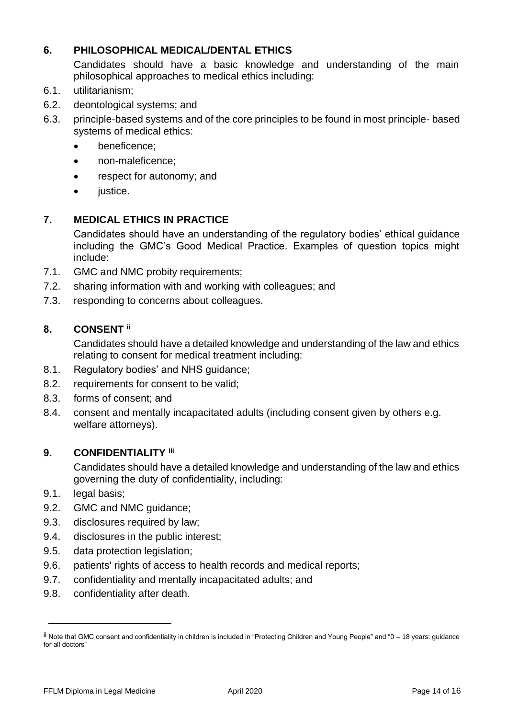# **6. PHILOSOPHICAL MEDICAL/DENTAL ETHICS**

Candidates should have a basic knowledge and understanding of the main philosophical approaches to medical ethics including:

- 6.1. utilitarianism;
- 6.2. deontological systems; and
- 6.3. principle-based systems and of the core principles to be found in most principle- based systems of medical ethics:
	- beneficence:
	- non-maleficence;
	- respect for autonomy; and
	- justice.

# **7. MEDICAL ETHICS IN PRACTICE**

Candidates should have an understanding of the regulatory bodies' ethical guidance including the GMC's Good Medical Practice. Examples of question topics might include:

- 7.1. GMC and NMC probity requirements;
- 7.2. sharing information with and working with colleagues; and
- 7.3. responding to concerns about colleagues.

# **8. CONSENT ii**

Candidates should have a detailed knowledge and understanding of the law and ethics relating to consent for medical treatment including:

- 8.1. Regulatory bodies' and NHS guidance;
- 8.2. requirements for consent to be valid;
- 8.3. forms of consent; and
- 8.4. consent and mentally incapacitated adults (including consent given by others e.g. welfare attorneys).

## **9. CONFIDENTIALITY iii**

Candidates should have a detailed knowledge and understanding of the law and ethics governing the duty of confidentiality, including:

- 9.1. legal basis;
- 9.2. GMC and NMC guidance;
- 9.3. disclosures required by law;
- 9.4. disclosures in the public interest;
- 9.5. data protection legislation;
- 9.6. patients' rights of access to health records and medical reports;
- 9.7. confidentiality and mentally incapacitated adults; and
- 9.8. confidentiality after death.

ii Note that GMC consent and confidentiality in children is included in "Protecting Children and Young People" and "0 – 18 years: guidance for all doctors"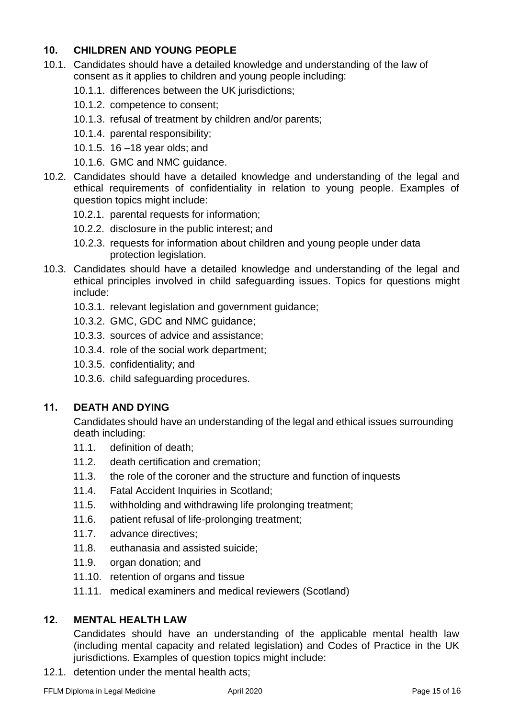# **10. CHILDREN AND YOUNG PEOPLE**

- 10.1. Candidates should have a detailed knowledge and understanding of the law of consent as it applies to children and young people including:
	- 10.1.1. differences between the UK jurisdictions;
	- 10.1.2. competence to consent;
	- 10.1.3. refusal of treatment by children and/or parents;
	- 10.1.4. parental responsibility;
	- 10.1.5. 16 –18 year olds; and
	- 10.1.6. GMC and NMC guidance.
- 10.2. Candidates should have a detailed knowledge and understanding of the legal and ethical requirements of confidentiality in relation to young people. Examples of question topics might include:
	- 10.2.1. parental requests for information;
	- 10.2.2. disclosure in the public interest; and
	- 10.2.3. requests for information about children and young people under data protection legislation.
- 10.3. Candidates should have a detailed knowledge and understanding of the legal and ethical principles involved in child safeguarding issues. Topics for questions might include:
	- 10.3.1. relevant legislation and government guidance;
	- 10.3.2. GMC, GDC and NMC guidance;
	- 10.3.3. sources of advice and assistance;
	- 10.3.4. role of the social work department;
	- 10.3.5. confidentiality; and
	- 10.3.6. child safeguarding procedures.

# **11. DEATH AND DYING**

Candidates should have an understanding of the legal and ethical issues surrounding death including:

- 11.1. definition of death;
- 11.2. death certification and cremation;
- 11.3. the role of the coroner and the structure and function of inquests
- 11.4. Fatal Accident Inquiries in Scotland;
- 11.5. withholding and withdrawing life prolonging treatment;
- 11.6. patient refusal of life-prolonging treatment;
- 11.7. advance directives;
- 11.8. euthanasia and assisted suicide;
- 11.9. organ donation; and
- 11.10. retention of organs and tissue
- 11.11. medical examiners and medical reviewers (Scotland)

# **12. MENTAL HEALTH LAW**

Candidates should have an understanding of the applicable mental health law (including mental capacity and related legislation) and Codes of Practice in the UK jurisdictions. Examples of question topics might include:

12.1. detention under the mental health acts;